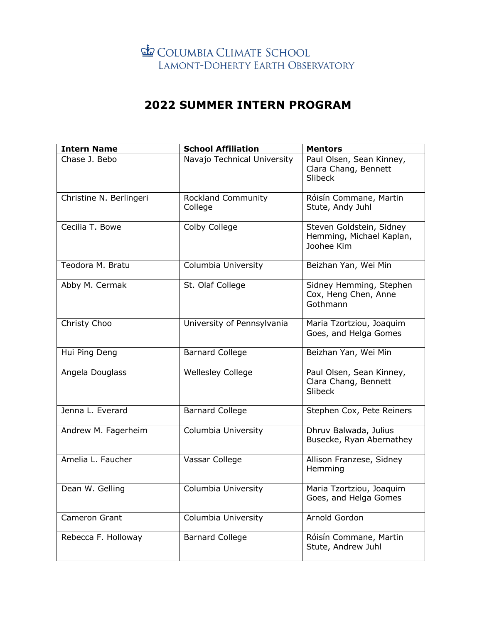## COLUMBIA CLIMATE SCHOOL LAMONT-DOHERTY EARTH OBSERVATORY

## **2022 SUMMER INTERN PROGRAM**

| <b>Intern Name</b>      | <b>School Affiliation</b>            | <b>Mentors</b>                                                     |
|-------------------------|--------------------------------------|--------------------------------------------------------------------|
| Chase J. Bebo           | Navajo Technical University          | Paul Olsen, Sean Kinney,<br>Clara Chang, Bennett<br><b>Slibeck</b> |
| Christine N. Berlingeri | <b>Rockland Community</b><br>College | Róisín Commane, Martin<br>Stute, Andy Juhl                         |
| Cecilia T. Bowe         | Colby College                        | Steven Goldstein, Sidney<br>Hemming, Michael Kaplan,<br>Joohee Kim |
| Teodora M. Bratu        | Columbia University                  | Beizhan Yan, Wei Min                                               |
| Abby M. Cermak          | St. Olaf College                     | Sidney Hemming, Stephen<br>Cox, Heng Chen, Anne<br>Gothmann        |
| Christy Choo            | University of Pennsylvania           | Maria Tzortziou, Joaquim<br>Goes, and Helga Gomes                  |
| Hui Ping Deng           | <b>Barnard College</b>               | Beizhan Yan, Wei Min                                               |
| Angela Douglass         | <b>Wellesley College</b>             | Paul Olsen, Sean Kinney,<br>Clara Chang, Bennett<br>Slibeck        |
| Jenna L. Everard        | <b>Barnard College</b>               | Stephen Cox, Pete Reiners                                          |
| Andrew M. Fagerheim     | Columbia University                  | Dhruv Balwada, Julius<br>Busecke, Ryan Abernathey                  |
| Amelia L. Faucher       | Vassar College                       | Allison Franzese, Sidney<br>Hemming                                |
| Dean W. Gelling         | Columbia University                  | Maria Tzortziou, Joaquim<br>Goes, and Helga Gomes                  |
| Cameron Grant           | Columbia University                  | Arnold Gordon                                                      |
| Rebecca F. Holloway     | <b>Barnard College</b>               | Róisín Commane, Martin<br>Stute, Andrew Juhl                       |